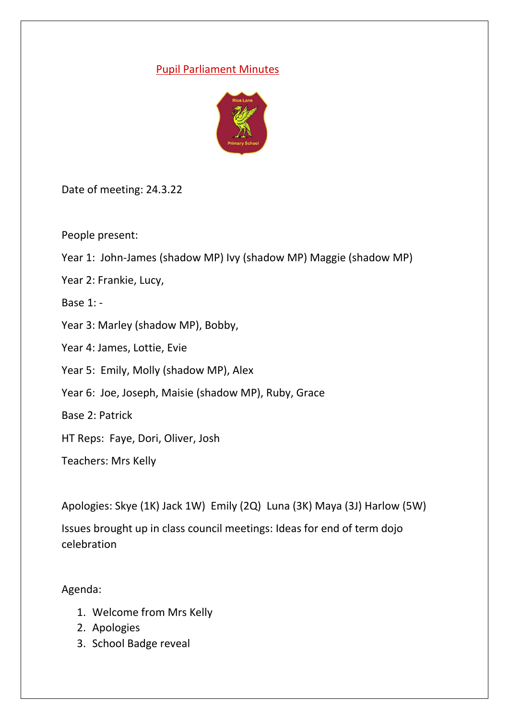## Pupil Parliament Minutes



Date of meeting: 24.3.22

People present:

- Year 1: John-James (shadow MP) Ivy (shadow MP) Maggie (shadow MP)
- Year 2: Frankie, Lucy,

Base 1: -

- Year 3: Marley (shadow MP), Bobby,
- Year 4: James, Lottie, Evie
- Year 5: Emily, Molly (shadow MP), Alex
- Year 6: Joe, Joseph, Maisie (shadow MP), Ruby, Grace

Base 2: Patrick

HT Reps: Faye, Dori, Oliver, Josh

Teachers: Mrs Kelly

```
Apologies: Skye (1K) Jack 1W) Emily (2Q) Luna (3K) Maya (3J) Harlow (5W)
```
Issues brought up in class council meetings: Ideas for end of term dojo celebration

Agenda:

- 1. Welcome from Mrs Kelly
- 2. Apologies
- 3. School Badge reveal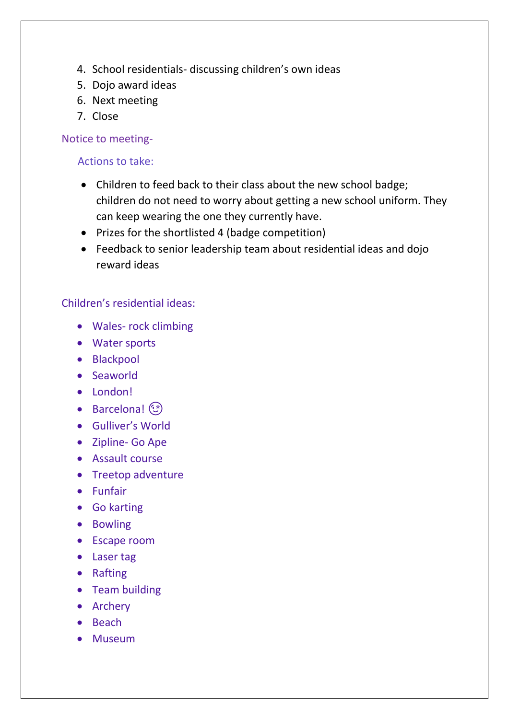- 4. School residentials- discussing children's own ideas
- 5. Dojo award ideas
- 6. Next meeting
- 7. Close

Notice to meeting-

Actions to take:

- Children to feed back to their class about the new school badge; children do not need to worry about getting a new school uniform. They can keep wearing the one they currently have.
- Prizes for the shortlisted 4 (badge competition)
- Feedback to senior leadership team about residential ideas and dojo reward ideas

## Children's residential ideas:

- Wales- rock climbing
- Water sports
- Blackpool
- Seaworld
- London!
- Barcelona! (
- Gulliver's World
- Zipline- Go Ape
- Assault course
- Treetop adventure
- Funfair
- Go karting
- Bowling
- Escape room
- Laser tag
- Rafting
- Team building
- Archery
- Beach
- Museum